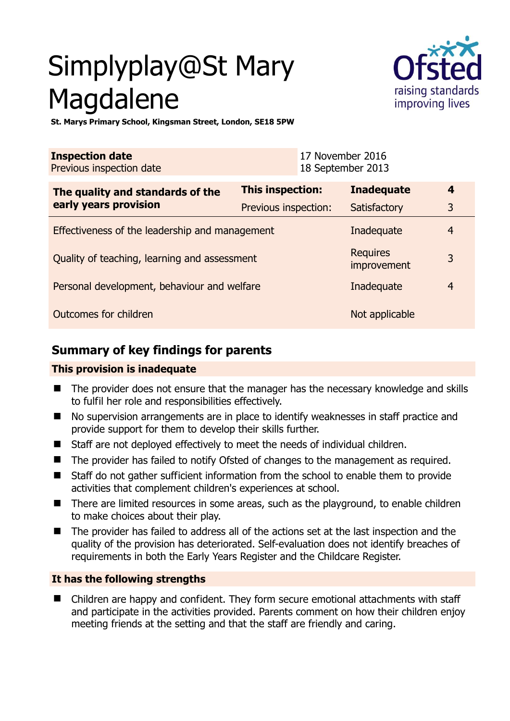# Simplyplay@St Mary Magdalene



**St. Marys Primary School, Kingsman Street, London, SE18 5PW** 

| <b>Inspection date</b><br>Previous inspection date        | 17 November 2016<br>18 September 2013 |                   |                |
|-----------------------------------------------------------|---------------------------------------|-------------------|----------------|
| The quality and standards of the<br>early years provision | <b>This inspection:</b>               | <b>Inadequate</b> | $\overline{4}$ |
|                                                           | Previous inspection:                  | Satisfactory      | 3              |
| Effectiveness of the leadership and management            |                                       | Inadequate        | $\overline{4}$ |
| Quality of teaching, learning and assessment              | <b>Requires</b><br>improvement        | 3                 |                |
| Personal development, behaviour and welfare               |                                       | Inadequate        | $\overline{4}$ |
| Outcomes for children                                     | Not applicable                        |                   |                |

# **Summary of key findings for parents**

### **This provision is inadequate**

- The provider does not ensure that the manager has the necessary knowledge and skills to fulfil her role and responsibilities effectively.
- No supervision arrangements are in place to identify weaknesses in staff practice and provide support for them to develop their skills further.
- Staff are not deployed effectively to meet the needs of individual children.
- The provider has failed to notify Ofsted of changes to the management as required.
- Staff do not gather sufficient information from the school to enable them to provide activities that complement children's experiences at school.
- There are limited resources in some areas, such as the playground, to enable children to make choices about their play.
- The provider has failed to address all of the actions set at the last inspection and the quality of the provision has deteriorated. Self-evaluation does not identify breaches of requirements in both the Early Years Register and the Childcare Register.

### **It has the following strengths**

 Children are happy and confident. They form secure emotional attachments with staff and participate in the activities provided. Parents comment on how their children enjoy meeting friends at the setting and that the staff are friendly and caring.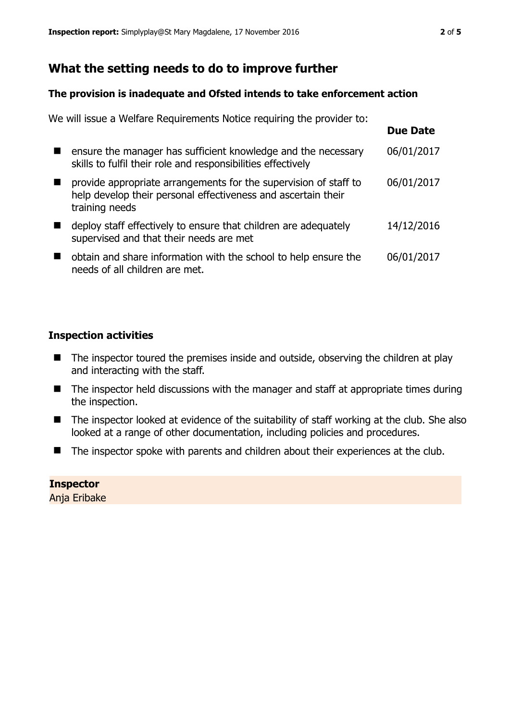# **What the setting needs to do to improve further**

#### **The provision is inadequate and Ofsted intends to take enforcement action**

| We will issue a Welfare Requirements Notice requiring the provider to:                                                                              |                 |
|-----------------------------------------------------------------------------------------------------------------------------------------------------|-----------------|
|                                                                                                                                                     | <b>Due Date</b> |
| ensure the manager has sufficient knowledge and the necessary<br>skills to fulfil their role and responsibilities effectively                       | 06/01/2017      |
| provide appropriate arrangements for the supervision of staff to<br>help develop their personal effectiveness and ascertain their<br>training needs | 06/01/2017      |
| deploy staff effectively to ensure that children are adequately<br>supervised and that their needs are met                                          | 14/12/2016      |
| obtain and share information with the school to help ensure the<br>needs of all children are met.                                                   | 06/01/2017      |

### **Inspection activities**

- The inspector toured the premises inside and outside, observing the children at play and interacting with the staff.
- The inspector held discussions with the manager and staff at appropriate times during the inspection.
- The inspector looked at evidence of the suitability of staff working at the club. She also looked at a range of other documentation, including policies and procedures.
- The inspector spoke with parents and children about their experiences at the club.

### **Inspector**

Anja Eribake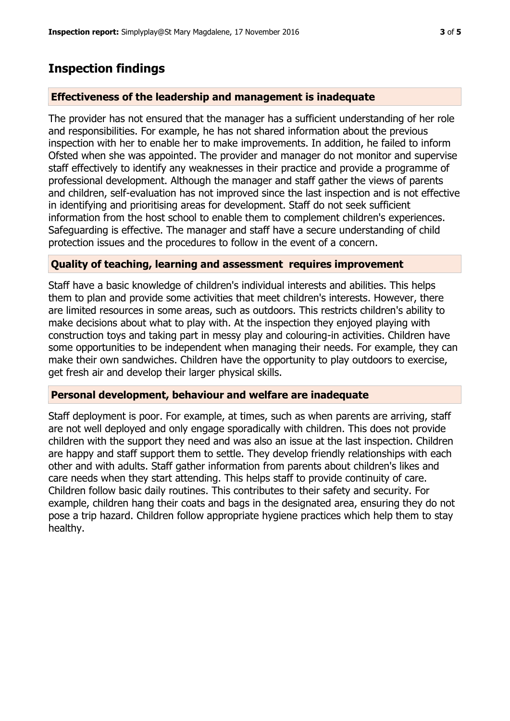## **Inspection findings**

#### **Effectiveness of the leadership and management is inadequate**

The provider has not ensured that the manager has a sufficient understanding of her role and responsibilities. For example, he has not shared information about the previous inspection with her to enable her to make improvements. In addition, he failed to inform Ofsted when she was appointed. The provider and manager do not monitor and supervise staff effectively to identify any weaknesses in their practice and provide a programme of professional development. Although the manager and staff gather the views of parents and children, self-evaluation has not improved since the last inspection and is not effective in identifying and prioritising areas for development. Staff do not seek sufficient information from the host school to enable them to complement children's experiences. Safeguarding is effective. The manager and staff have a secure understanding of child protection issues and the procedures to follow in the event of a concern.

#### **Quality of teaching, learning and assessment requires improvement**

Staff have a basic knowledge of children's individual interests and abilities. This helps them to plan and provide some activities that meet children's interests. However, there are limited resources in some areas, such as outdoors. This restricts children's ability to make decisions about what to play with. At the inspection they enjoyed playing with construction toys and taking part in messy play and colouring-in activities. Children have some opportunities to be independent when managing their needs. For example, they can make their own sandwiches. Children have the opportunity to play outdoors to exercise, get fresh air and develop their larger physical skills.

#### **Personal development, behaviour and welfare are inadequate**

Staff deployment is poor. For example, at times, such as when parents are arriving, staff are not well deployed and only engage sporadically with children. This does not provide children with the support they need and was also an issue at the last inspection. Children are happy and staff support them to settle. They develop friendly relationships with each other and with adults. Staff gather information from parents about children's likes and care needs when they start attending. This helps staff to provide continuity of care. Children follow basic daily routines. This contributes to their safety and security. For example, children hang their coats and bags in the designated area, ensuring they do not pose a trip hazard. Children follow appropriate hygiene practices which help them to stay healthy.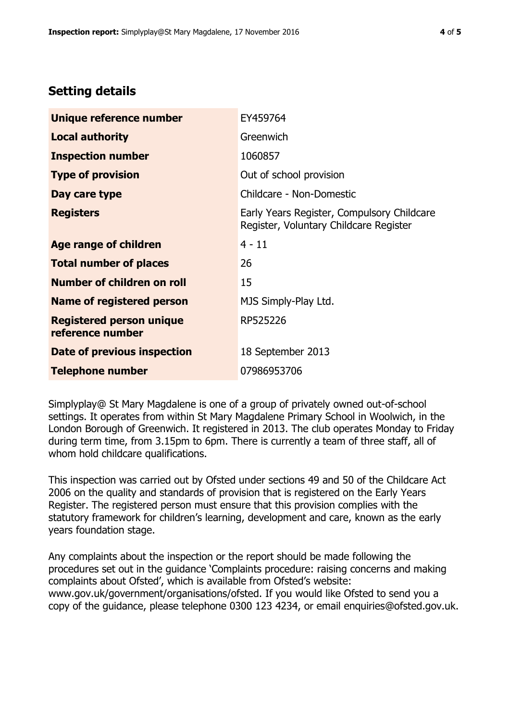# **Setting details**

| Unique reference number                             | EY459764                                                                             |
|-----------------------------------------------------|--------------------------------------------------------------------------------------|
| <b>Local authority</b>                              | Greenwich                                                                            |
| <b>Inspection number</b>                            | 1060857                                                                              |
| <b>Type of provision</b>                            | Out of school provision                                                              |
| Day care type                                       | Childcare - Non-Domestic                                                             |
| <b>Registers</b>                                    | Early Years Register, Compulsory Childcare<br>Register, Voluntary Childcare Register |
| Age range of children                               | $4 - 11$                                                                             |
| <b>Total number of places</b>                       | 26                                                                                   |
| Number of children on roll                          | 15                                                                                   |
| Name of registered person                           | MJS Simply-Play Ltd.                                                                 |
| <b>Registered person unique</b><br>reference number | RP525226                                                                             |
| Date of previous inspection                         | 18 September 2013                                                                    |
| <b>Telephone number</b>                             | 07986953706                                                                          |

Simplyplay@ St Mary Magdalene is one of a group of privately owned out-of-school settings. It operates from within St Mary Magdalene Primary School in Woolwich, in the London Borough of Greenwich. It registered in 2013. The club operates Monday to Friday during term time, from 3.15pm to 6pm. There is currently a team of three staff, all of whom hold childcare qualifications.

This inspection was carried out by Ofsted under sections 49 and 50 of the Childcare Act 2006 on the quality and standards of provision that is registered on the Early Years Register. The registered person must ensure that this provision complies with the statutory framework for children's learning, development and care, known as the early years foundation stage.

Any complaints about the inspection or the report should be made following the procedures set out in the guidance 'Complaints procedure: raising concerns and making complaints about Ofsted', which is available from Ofsted's website: www.gov.uk/government/organisations/ofsted. If you would like Ofsted to send you a copy of the guidance, please telephone 0300 123 4234, or email enquiries@ofsted.gov.uk.